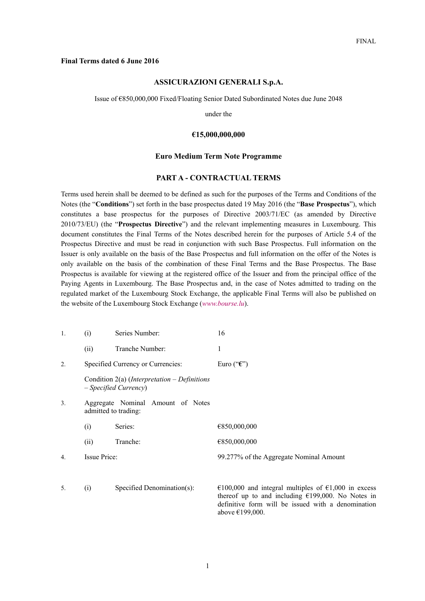#### **Final Terms dated 6 June 2016**

#### **ASSICURAZIONI GENERALI S.p.A.**

Issue of €850,000,000 Fixed/Floating Senior Dated Subordinated Notes due June 2048

under the

#### **€15,000,000,000**

#### **Euro Medium Term Note Programme**

#### **PART A - CONTRACTUAL TERMS**

Terms used herein shall be deemed to be defined as such for the purposes of the Terms and Conditions of the Notes (the "**Conditions**") set forth in the base prospectus dated 19 May 2016 (the "**Base Prospectus**"), which constitutes a base prospectus for the purposes of Directive 2003/71/EC (as amended by Directive 2010/73/EU) (the "**Prospectus Directive**") and the relevant implementing measures in Luxembourg. This document constitutes the Final Terms of the Notes described herein for the purposes of Article 5.4 of the Prospectus Directive and must be read in conjunction with such Base Prospectus. Full information on the Issuer is only available on the basis of the Base Prospectus and full information on the offer of the Notes is only available on the basis of the combination of these Final Terms and the Base Prospectus. The Base Prospectus is available for viewing at the registered office of the Issuer and from the principal office of the Paying Agents in Luxembourg. The Base Prospectus and, in the case of Notes admitted to trading on the regulated market of the Luxembourg Stock Exchange, the applicable Final Terms will also be published on the website of the Luxembourg Stock Exchange (*www.bourse.lu*).

| 1. | (i)                               | Series Number:                                                                   | 16                                                                                                         |
|----|-----------------------------------|----------------------------------------------------------------------------------|------------------------------------------------------------------------------------------------------------|
|    | (ii)                              | Tranche Number:                                                                  | 1                                                                                                          |
| 2. |                                   | Specified Currency or Currencies:                                                | Euro (" $\epsilon$ ")                                                                                      |
|    |                                   | Condition $2(a)$ ( <i>Interpretation – Definitions</i><br>$-Specified$ Currency) |                                                                                                            |
| 3. |                                   | Aggregate Nominal Amount of Notes<br>admitted to trading:                        |                                                                                                            |
|    | (i)                               | Series:                                                                          | €850,000,000                                                                                               |
|    | (ii)                              | Tranche:                                                                         | €850,000,000                                                                                               |
| 4. | Issue Price:                      |                                                                                  | 99.277% of the Aggregate Nominal Amount                                                                    |
| 5. | Specified Denomination(s):<br>(i) |                                                                                  | €100,000 and integral multiples of €1,000 in excess<br>thereof up to and including $f(199000)$ No Notes in |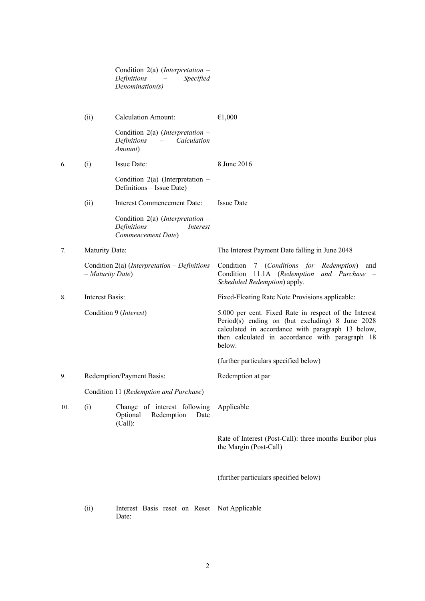|     |                       | Condition 2(a) (Interpretation $-$<br>Definitions<br>Specified<br>Denomination(s)                              |                                                                                                                                                                                                                              |
|-----|-----------------------|----------------------------------------------------------------------------------------------------------------|------------------------------------------------------------------------------------------------------------------------------------------------------------------------------------------------------------------------------|
|     | (ii)                  | <b>Calculation Amount:</b>                                                                                     | €1,000                                                                                                                                                                                                                       |
|     |                       | Condition 2(a) (Interpretation $-$<br>Definitions<br>Calculation<br>$\frac{1}{2}$ and $\frac{1}{2}$<br>Amount) |                                                                                                                                                                                                                              |
| 6.  | (i)                   | Issue Date:                                                                                                    | 8 June 2016                                                                                                                                                                                                                  |
|     |                       | Condition $2(a)$ (Interpretation –<br>Definitions - Issue Date)                                                |                                                                                                                                                                                                                              |
|     | (ii)                  | Interest Commencement Date:                                                                                    | <b>Issue Date</b>                                                                                                                                                                                                            |
|     |                       | Condition 2(a) (Interpretation $-$<br>Definitions<br>Interest<br>Commencement Date)                            |                                                                                                                                                                                                                              |
| 7.  | <b>Maturity Date:</b> |                                                                                                                | The Interest Payment Date falling in June 2048                                                                                                                                                                               |
|     | - Maturity Date)      | Condition $2(a)$ ( <i>Interpretation – Definitions</i>                                                         | Condition 7 (Conditions for Redemption)<br>and<br>Condition<br>11.1A (Redemption<br>and Purchase<br>Scheduled Redemption) apply.                                                                                             |
| 8.  | Interest Basis:       |                                                                                                                | Fixed-Floating Rate Note Provisions applicable:                                                                                                                                                                              |
|     |                       | Condition 9 (Interest)                                                                                         | 5.000 per cent. Fixed Rate in respect of the Interest<br>Period(s) ending on (but excluding) $8$ June 2028<br>calculated in accordance with paragraph 13 below,<br>then calculated in accordance with paragraph 18<br>below. |
|     |                       |                                                                                                                | (further particulars specified below)                                                                                                                                                                                        |
| 9.  |                       | Redemption/Payment Basis:                                                                                      | Redemption at par                                                                                                                                                                                                            |
|     |                       | Condition 11 (Redemption and Purchase)                                                                         |                                                                                                                                                                                                                              |
| 10. | (i)                   | Change of interest following<br>Optional<br>Redemption<br>Date<br>(Call):                                      | Applicable                                                                                                                                                                                                                   |
|     |                       |                                                                                                                | Rate of Interest (Post-Call): three months Euribor plus<br>the Margin (Post-Call)                                                                                                                                            |
|     |                       |                                                                                                                | (further particulars specified below)                                                                                                                                                                                        |
|     | (ii)                  | Interest Basis reset on Reset<br>Date:                                                                         | Not Applicable                                                                                                                                                                                                               |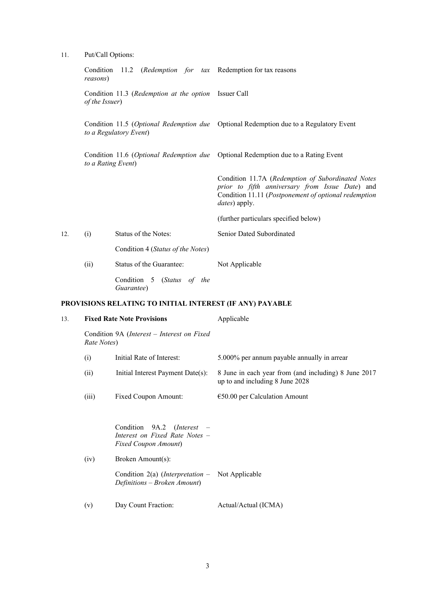11. Put/Call Options:

|     | reasons)           | Condition 11.2 (Redemption for tax Redemption for tax reasons |                                                                                                                                                                                       |
|-----|--------------------|---------------------------------------------------------------|---------------------------------------------------------------------------------------------------------------------------------------------------------------------------------------|
|     | of the Issuer)     | Condition 11.3 (Redemption at the option Issuer Call          |                                                                                                                                                                                       |
|     |                    | to a Regulatory Event)                                        | Condition 11.5 (Optional Redemption due Optional Redemption due to a Regulatory Event                                                                                                 |
|     | to a Rating Event) |                                                               | Condition 11.6 (Optional Redemption due Optional Redemption due to a Rating Event                                                                                                     |
|     |                    |                                                               | Condition 11.7A (Redemption of Subordinated Notes<br>prior to fifth anniversary from Issue Date) and<br>Condition 11.11 (Postponement of optional redemption<br><i>dates</i> ) apply. |
|     |                    |                                                               | (further particulars specified below)                                                                                                                                                 |
| 12. | (i)                | Status of the Notes:                                          | Senior Dated Subordinated                                                                                                                                                             |
|     |                    | Condition 4 (Status of the Notes)                             |                                                                                                                                                                                       |
|     | (ii)               | Status of the Guarantee:                                      | Not Applicable                                                                                                                                                                        |
|     |                    | Condition 5 (Status of the                                    |                                                                                                                                                                                       |

*Guarantee*)

# **PROVISIONS RELATING TO INITIAL INTEREST (IF ANY) PAYABLE**

| 13. | <b>Fixed Rate Note Provisions</b> |                                                                                                                                                                                                                          | Applicable                                                                              |  |
|-----|-----------------------------------|--------------------------------------------------------------------------------------------------------------------------------------------------------------------------------------------------------------------------|-----------------------------------------------------------------------------------------|--|
|     | Rate Notes)                       | Condition 9A (Interest – Interest on Fixed                                                                                                                                                                               |                                                                                         |  |
|     | (i)                               | Initial Rate of Interest:                                                                                                                                                                                                | 5.000% per annum payable annually in arrear                                             |  |
|     | (ii)                              | Initial Interest Payment Date(s):                                                                                                                                                                                        | 8 June in each year from (and including) 8 June 2017<br>up to and including 8 June 2028 |  |
|     | (iii)                             | Fixed Coupon Amount:                                                                                                                                                                                                     | $€50.00$ per Calculation Amount                                                         |  |
|     | (iv)                              | Condition $9A.2$ ( <i>Interest –</i><br>Interest on Fixed Rate Notes -<br><b>Fixed Coupon Amount</b> )<br>Broken Amount(s):<br>Condition $2(a)$ ( <i>Interpretation</i> – Not Applicable<br>Definitions – Broken Amount) |                                                                                         |  |
|     | (v)                               | Day Count Fraction:                                                                                                                                                                                                      | Actual/Actual (ICMA)                                                                    |  |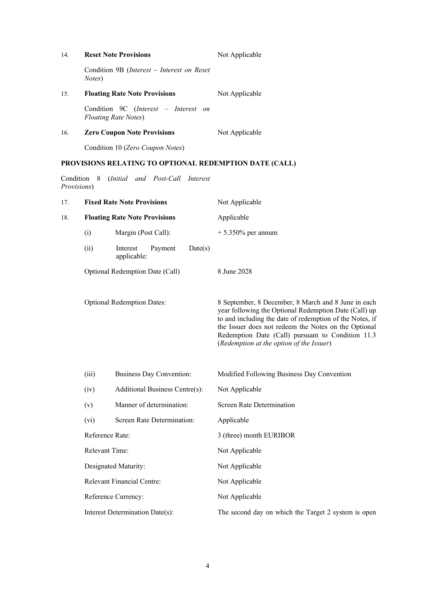| 14.                        | <b>Reset Note Provisions</b>             |                                                                      | Not Applicable                                                                                                                                                                                                                                                                                                                    |  |
|----------------------------|------------------------------------------|----------------------------------------------------------------------|-----------------------------------------------------------------------------------------------------------------------------------------------------------------------------------------------------------------------------------------------------------------------------------------------------------------------------------|--|
|                            | Notes)                                   | Condition 9B ( <i>Interest – Interest on Reset</i>                   |                                                                                                                                                                                                                                                                                                                                   |  |
| 15.                        |                                          | <b>Floating Rate Note Provisions</b>                                 | Not Applicable                                                                                                                                                                                                                                                                                                                    |  |
|                            |                                          | Condition 9C (Interest – Interest on<br><b>Floating Rate Notes</b> ) |                                                                                                                                                                                                                                                                                                                                   |  |
| 16.                        |                                          | <b>Zero Coupon Note Provisions</b>                                   | Not Applicable                                                                                                                                                                                                                                                                                                                    |  |
|                            |                                          | Condition 10 (Zero Coupon Notes)                                     |                                                                                                                                                                                                                                                                                                                                   |  |
|                            |                                          | PROVISIONS RELATING TO OPTIONAL REDEMPTION DATE (CALL)               |                                                                                                                                                                                                                                                                                                                                   |  |
| Condition 8<br>Provisions) |                                          | (Initial and Post-Call Interest                                      |                                                                                                                                                                                                                                                                                                                                   |  |
| 17.                        |                                          | <b>Fixed Rate Note Provisions</b>                                    | Not Applicable                                                                                                                                                                                                                                                                                                                    |  |
| 18.                        |                                          | <b>Floating Rate Note Provisions</b>                                 | Applicable                                                                                                                                                                                                                                                                                                                        |  |
|                            | (i)                                      | Margin (Post Call):                                                  | $+5.350\%$ per annum                                                                                                                                                                                                                                                                                                              |  |
|                            | (ii)                                     | Date(s)<br>Interest<br>Payment<br>applicable:                        |                                                                                                                                                                                                                                                                                                                                   |  |
|                            |                                          | Optional Redemption Date (Call)                                      | 8 June 2028                                                                                                                                                                                                                                                                                                                       |  |
|                            |                                          | <b>Optional Redemption Dates:</b>                                    | 8 September, 8 December, 8 March and 8 June in each<br>year following the Optional Redemption Date (Call) up<br>to and including the date of redemption of the Notes, if<br>the Issuer does not redeem the Notes on the Optional<br>Redemption Date (Call) pursuant to Condition 11.3<br>(Redemption at the option of the Issuer) |  |
|                            | (iii)<br><b>Business Day Convention:</b> |                                                                      | Modified Following Business Day Convention                                                                                                                                                                                                                                                                                        |  |
|                            | (iv)                                     | Additional Business Centre(s):                                       | Not Applicable                                                                                                                                                                                                                                                                                                                    |  |
|                            | (v)                                      | Manner of determination:                                             | <b>Screen Rate Determination</b>                                                                                                                                                                                                                                                                                                  |  |
|                            | (vi)                                     | Screen Rate Determination:                                           | Applicable                                                                                                                                                                                                                                                                                                                        |  |
|                            | Reference Rate:                          |                                                                      | 3 (three) month EURIBOR                                                                                                                                                                                                                                                                                                           |  |
|                            | Relevant Time:                           |                                                                      | Not Applicable                                                                                                                                                                                                                                                                                                                    |  |
|                            |                                          | Designated Maturity:                                                 | Not Applicable                                                                                                                                                                                                                                                                                                                    |  |
|                            |                                          | <b>Relevant Financial Centre:</b>                                    | Not Applicable                                                                                                                                                                                                                                                                                                                    |  |
|                            |                                          | Reference Currency:                                                  | Not Applicable                                                                                                                                                                                                                                                                                                                    |  |
|                            |                                          | Interest Determination Date(s):                                      | The second day on which the Target 2 system is open                                                                                                                                                                                                                                                                               |  |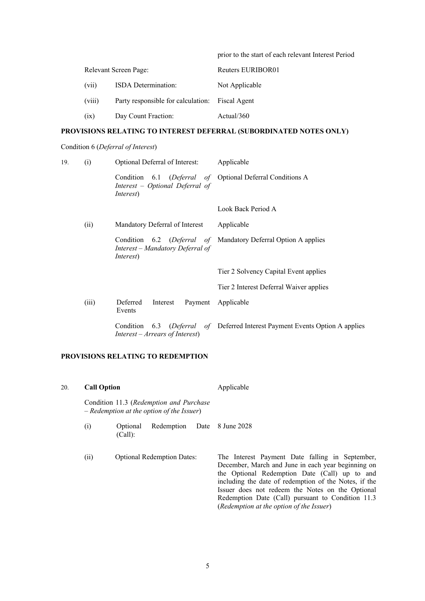|        |                                    | prior to the start of each relevant Interest Period |
|--------|------------------------------------|-----------------------------------------------------|
|        | Relevant Screen Page:              | Reuters EURIBOR01                                   |
| (vii)  | <b>ISDA</b> Determination:         | Not Applicable                                      |
| (viii) | Party responsible for calculation: | <b>Fiscal Agent</b>                                 |
| (ix)   | Day Count Fraction:                | Actual/360                                          |

## **PROVISIONS RELATING TO INTEREST DEFERRAL (SUBORDINATED NOTES ONLY)**

### Condition 6 (*Deferral of Interest*)

| 19. | (i)   | Optional Deferral of Interest:                                                                                    | Applicable                                                                   |
|-----|-------|-------------------------------------------------------------------------------------------------------------------|------------------------------------------------------------------------------|
|     |       | Condition 6.1 (Deferral of Optional Deferral Conditions A<br>Interest – Optional Deferral of<br><i>Interest</i> ) |                                                                              |
|     |       |                                                                                                                   | Look Back Period A                                                           |
|     | (ii)  | Mandatory Deferral of Interest                                                                                    | Applicable                                                                   |
|     |       | Interest - Mandatory Deferral of<br><i>Interest</i> )                                                             | Condition 6.2 (Deferral of Mandatory Deferral Option A applies               |
|     |       |                                                                                                                   | Tier 2 Solvency Capital Event applies                                        |
|     |       |                                                                                                                   | Tier 2 Interest Deferral Waiver applies                                      |
|     | (iii) | Deferred<br>Interest<br>Events                                                                                    | Payment Applicable                                                           |
|     |       | $Interest - Arrears of Interest)$                                                                                 | Condition 6.3 (Deferral of Deferred Interest Payment Events Option A applies |
|     |       |                                                                                                                   |                                                                              |

## **PROVISIONS RELATING TO REDEMPTION**

| 20. | <b>Call Option</b><br>Condition 11.3 (Redemption and Purchase<br>$-$ Redemption at the option of the Issuer) |                     |                                   | Applicable                                                                                                                                                                                                                                                                                                                                                           |  |
|-----|--------------------------------------------------------------------------------------------------------------|---------------------|-----------------------------------|----------------------------------------------------------------------------------------------------------------------------------------------------------------------------------------------------------------------------------------------------------------------------------------------------------------------------------------------------------------------|--|
|     |                                                                                                              |                     |                                   |                                                                                                                                                                                                                                                                                                                                                                      |  |
|     | (i)                                                                                                          | Optional<br>(Call): | Redemption                        | Date 8 June 2028                                                                                                                                                                                                                                                                                                                                                     |  |
|     | (ii)                                                                                                         |                     | <b>Optional Redemption Dates:</b> | The Interest Payment Date falling in September,<br>December, March and June in each year beginning on<br>the Optional Redemption Date (Call) up to and<br>including the date of redemption of the Notes, if the<br>Issuer does not redeem the Notes on the Optional<br>Redemption Date (Call) pursuant to Condition 11.3<br>(Redemption at the option of the Issuer) |  |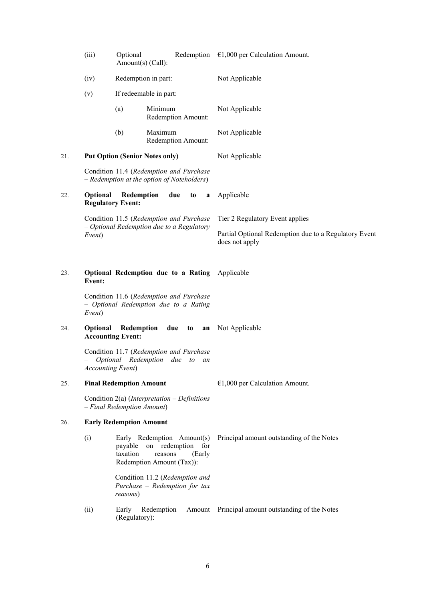|     | (iii)                                                                                                    | Optional<br>Amount(s) (Call):          | Redemption                                                                                           | $\epsilon$ 1,000 per Calculation Amount.                                |
|-----|----------------------------------------------------------------------------------------------------------|----------------------------------------|------------------------------------------------------------------------------------------------------|-------------------------------------------------------------------------|
|     | (iv)                                                                                                     | Redemption in part:                    |                                                                                                      | Not Applicable                                                          |
|     | (v)                                                                                                      |                                        | If redeemable in part:                                                                               |                                                                         |
|     |                                                                                                          | (a)                                    | Minimum<br>Redemption Amount:                                                                        | Not Applicable                                                          |
|     |                                                                                                          | (b)                                    | Maximum<br>Redemption Amount:                                                                        | Not Applicable                                                          |
| 21. |                                                                                                          |                                        | <b>Put Option (Senior Notes only)</b>                                                                | Not Applicable                                                          |
|     |                                                                                                          |                                        | Condition 11.4 (Redemption and Purchase<br>$-$ Redemption at the option of Noteholders)              |                                                                         |
| 22. | <b>Optional</b>                                                                                          | Redemption<br><b>Regulatory Event:</b> | due<br>to<br>a                                                                                       | Applicable                                                              |
|     |                                                                                                          |                                        | Condition 11.5 (Redemption and Purchase                                                              | Tier 2 Regulatory Event applies                                         |
|     | Event)                                                                                                   |                                        | - Optional Redemption due to a Regulatory                                                            | Partial Optional Redemption due to a Regulatory Event<br>does not apply |
| 23. | Optional Redemption due to a Rating<br>Event:                                                            |                                        |                                                                                                      | Applicable                                                              |
|     | Event)                                                                                                   |                                        | Condition 11.6 (Redemption and Purchase<br>- Optional Redemption due to a Rating                     |                                                                         |
| 24. | Optional                                                                                                 | Redemption<br><b>Accounting Event:</b> | due<br>to<br>an                                                                                      | Not Applicable                                                          |
|     | Condition 11.7 (Redemption and Purchase<br>Optional Redemption due to<br>an<br><b>Accounting Event</b> ) |                                        |                                                                                                      |                                                                         |
| 25. |                                                                                                          | <b>Final Redemption Amount</b>         |                                                                                                      | $€1,000$ per Calculation Amount.                                        |
|     | Condition $2(a)$ (Interpretation – Definitions<br>- Final Redemption Amount)                             |                                        |                                                                                                      |                                                                         |
| 26. |                                                                                                          | <b>Early Redemption Amount</b>         |                                                                                                      |                                                                         |
|     | (i)                                                                                                      | payable<br>taxation                    | Early Redemption Amount(s)<br>on redemption<br>for<br>reasons<br>(Early<br>Redemption Amount (Tax)): | Principal amount outstanding of the Notes                               |
|     |                                                                                                          | reasons)                               | Condition 11.2 (Redemption and<br>Purchase - Redemption for tax                                      |                                                                         |
|     | (ii)                                                                                                     | Early<br>(Regulatory):                 | Redemption<br>Amount                                                                                 | Principal amount outstanding of the Notes                               |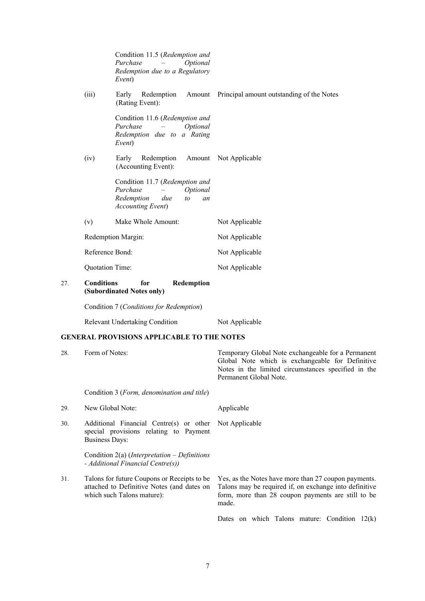|     |                                                                                                            | Condition 11.5 (Redemption and<br>Purchase<br>Optional<br>Redemption due to a Regulatory<br>Event)                      |                                                                                                                                                                                         |
|-----|------------------------------------------------------------------------------------------------------------|-------------------------------------------------------------------------------------------------------------------------|-----------------------------------------------------------------------------------------------------------------------------------------------------------------------------------------|
|     | (iii)                                                                                                      | Early<br>Redemption<br>(Rating Event):                                                                                  | Amount Principal amount outstanding of the Notes                                                                                                                                        |
|     |                                                                                                            | Condition 11.6 (Redemption and<br>Purchase<br>Optional<br>Redemption due to a Rating<br>Event)                          |                                                                                                                                                                                         |
|     | (iv)                                                                                                       | Early<br>Redemption<br>(Accounting Event):                                                                              | Amount Not Applicable                                                                                                                                                                   |
|     |                                                                                                            | Condition 11.7 (Redemption and<br>Purchase<br>Optional<br>Redemption<br>due<br>to<br>an<br><b>Accounting Event)</b>     |                                                                                                                                                                                         |
|     | (v)                                                                                                        | Make Whole Amount:                                                                                                      | Not Applicable                                                                                                                                                                          |
|     |                                                                                                            | Redemption Margin:                                                                                                      | Not Applicable                                                                                                                                                                          |
|     | Reference Bond:                                                                                            |                                                                                                                         | Not Applicable                                                                                                                                                                          |
|     | Quotation Time:                                                                                            |                                                                                                                         | Not Applicable                                                                                                                                                                          |
| 27. | <b>Conditions</b><br>for<br>Redemption<br>(Subordinated Notes only)                                        |                                                                                                                         |                                                                                                                                                                                         |
|     |                                                                                                            | Condition 7 (Conditions for Redemption)                                                                                 |                                                                                                                                                                                         |
|     |                                                                                                            | <b>Relevant Undertaking Condition</b>                                                                                   | Not Applicable                                                                                                                                                                          |
|     |                                                                                                            | <b>GENERAL PROVISIONS APPLICABLE TO THE NOTES</b>                                                                       |                                                                                                                                                                                         |
| 28. | Form of Notes:                                                                                             |                                                                                                                         | Temporary Global Note exchangeable for a Permanent<br>Global Note which is exchangeable for Definitive<br>Notes in the limited circumstances specified in the<br>Permanent Global Note. |
|     |                                                                                                            | Condition 3 (Form, denomination and title)                                                                              |                                                                                                                                                                                         |
| 29. |                                                                                                            | New Global Note:                                                                                                        | Applicable                                                                                                                                                                              |
| 30. | Additional Financial Centre(s) or other<br>special provisions relating to Payment<br><b>Business Days:</b> |                                                                                                                         | Not Applicable                                                                                                                                                                          |
|     |                                                                                                            | Condition 2(a) (Interpretation $-Definitions$<br>- Additional Financial Centre(s))                                      |                                                                                                                                                                                         |
| 31. |                                                                                                            | Talons for future Coupons or Receipts to be<br>attached to Definitive Notes (and dates on<br>which such Talons mature): | Yes, as the Notes have more than 27 coupon payments.<br>Talons may be required if, on exchange into definitive<br>form, more than 28 coupon payments are still to be<br>made.           |
|     |                                                                                                            |                                                                                                                         | Dates on which Talons mature: Condition $12(k)$                                                                                                                                         |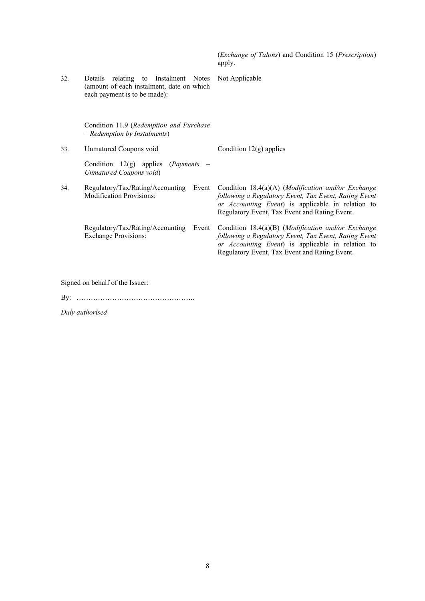|                                 |                                                                                                                      | ( <i>Exchange of Talons</i> ) and Condition 15 ( <i>Prescription</i> )<br>apply.                                                                                                                                  |  |  |
|---------------------------------|----------------------------------------------------------------------------------------------------------------------|-------------------------------------------------------------------------------------------------------------------------------------------------------------------------------------------------------------------|--|--|
| 32.                             | Details<br>relating to Instalment Notes<br>(amount of each instalment, date on which<br>each payment is to be made): | Not Applicable                                                                                                                                                                                                    |  |  |
|                                 | Condition 11.9 (Redemption and Purchase<br>- Redemption by Instalments)                                              |                                                                                                                                                                                                                   |  |  |
| 33.                             | Unmatured Coupons void                                                                                               | Condition $12(g)$ applies                                                                                                                                                                                         |  |  |
|                                 | Condition $12(g)$ applies ( <i>Payments</i> )<br>Unmatured Coupons void)                                             |                                                                                                                                                                                                                   |  |  |
| 34.                             | Regulatory/Tax/Rating/Accounting<br>Event<br><b>Modification Provisions:</b>                                         | Condition 18.4(a)(A) (Modification and/or Exchange<br>following a Regulatory Event, Tax Event, Rating Event<br>or Accounting Event) is applicable in relation to<br>Regulatory Event, Tax Event and Rating Event. |  |  |
|                                 | Regulatory/Tax/Rating/Accounting<br>Event<br><b>Exchange Provisions:</b>                                             | Condition 18.4(a)(B) (Modification and/or Exchange<br>following a Regulatory Event, Tax Event, Rating Event<br>or Accounting Event) is applicable in relation to<br>Regulatory Event, Tax Event and Rating Event. |  |  |
| Signed on behalf of the Issuer: |                                                                                                                      |                                                                                                                                                                                                                   |  |  |

By: …………………………………………..

*Duly authorised*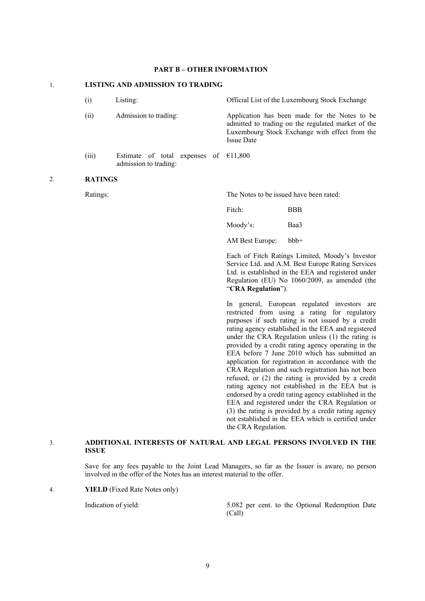### **PART B – OTHER INFORMATION**

## 1. **LISTING AND ADMISSION TO TRADING** (i) Listing: Official List of the Luxembourg Stock Exchange (ii) Admission to trading: Application has been made for the Notes to be admitted to trading on the regulated market of the Luxembourg Stock Exchange with effect from the Issue Date (iii) Estimate of total expenses of  $£11,800$ admission to trading: 2. **RATINGS** Ratings: The Notes to be issued have been rated: Fitch: BBB Moody's: Baa3 AM Best Europe: bbb+ Each of Fitch Ratings Limited, Moody's Investor Service Ltd. and A.M. Best Europe Rating Services Ltd. is established in the EEA and registered under Regulation (EU) No 1060/2009, as amended (the "**CRA Regulation**"). In general, European regulated investors are restricted from using a rating for regulatory purposes if such rating is not issued by a credit rating agency established in the EEA and registered under the CRA Regulation unless (1) the rating is provided by a credit rating agency operating in the EEA before 7 June 2010 which has submitted an application for registration in accordance with the CRA Regulation and such registration has not been refused, or (2) the rating is provided by a credit rating agency not established in the EEA but is endorsed by a credit rating agency established in the EEA and registered under the CRA Regulation or (3) the rating is provided by a credit rating agency not established in the EEA which is certified under

#### 3. **ADDITIONAL INTERESTS OF NATURAL AND LEGAL PERSONS INVOLVED IN THE ISSUE**

Save for any fees payable to the Joint Lead Managers, so far as the Issuer is aware, no person involved in the offer of the Notes has an interest material to the offer.

the CRA Regulation.

4. **YIELD** (Fixed Rate Notes only)

Indication of yield: 5.082 per cent. to the Optional Redemption Date (Call)